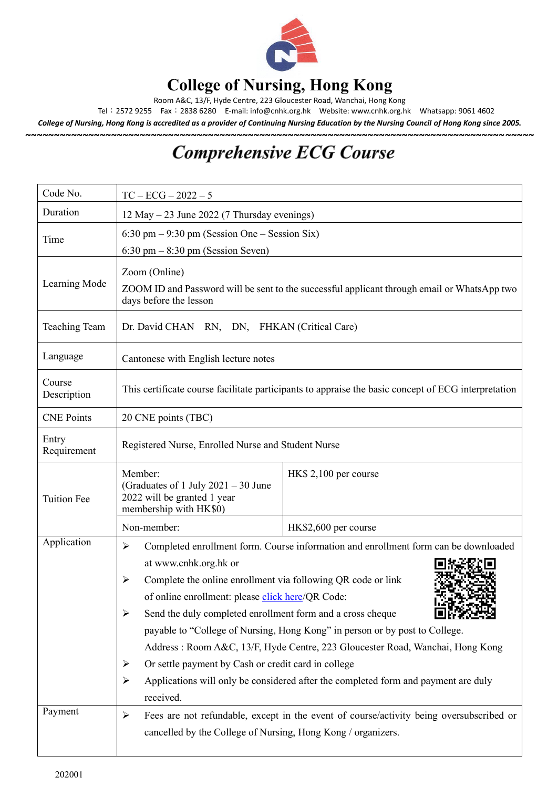

## **College of Nursing, Hong Kong**

Room A&C, 13/F, Hyde Centre, 223 Gloucester Road, Wanchai, Hong Kong

Tel:2572 9255 Fax:2838 6280 E-mail[: info@cnhk.org.hk](mailto:info@cnhk.org.hk) Website: [www.cnhk.org.hk](http://www.cnhk.org.hk/) Whatsapp: 9061 4602

*College of Nursing, Hong Kong is accredited as a provider of Continuing Nursing Education by the Nursing Council of Hong Kong since 2005.* **~~~~~~~~~~~~~~~~~~~~~~~~~~~~~~~~~~~~~~~~~~~~~~~~~~~~~~~~~~~~~~~~~~~~~~~~~~~~~~~~~~~~~~~~~**

## **Comprehensive ECG Course**

| Code No.              | $TC - ECG - 2022 - 5$                                                                                                                                                                                                                                                                                                                                                                                                                                                                                                                                                                                                                                                                     |                       |  |
|-----------------------|-------------------------------------------------------------------------------------------------------------------------------------------------------------------------------------------------------------------------------------------------------------------------------------------------------------------------------------------------------------------------------------------------------------------------------------------------------------------------------------------------------------------------------------------------------------------------------------------------------------------------------------------------------------------------------------------|-----------------------|--|
| Duration              | 12 May $-$ 23 June 2022 (7 Thursday evenings)                                                                                                                                                                                                                                                                                                                                                                                                                                                                                                                                                                                                                                             |                       |  |
| Time                  | $6:30 \text{ pm} - 9:30 \text{ pm}$ (Session One – Session Six)                                                                                                                                                                                                                                                                                                                                                                                                                                                                                                                                                                                                                           |                       |  |
| Learning Mode         | $6:30 \text{ pm} - 8:30 \text{ pm}$ (Session Seven)<br>Zoom (Online)<br>ZOOM ID and Password will be sent to the successful applicant through email or WhatsApp two<br>days before the lesson                                                                                                                                                                                                                                                                                                                                                                                                                                                                                             |                       |  |
| <b>Teaching Team</b>  | Dr. David CHAN RN, DN, FHKAN (Critical Care)                                                                                                                                                                                                                                                                                                                                                                                                                                                                                                                                                                                                                                              |                       |  |
| Language              | Cantonese with English lecture notes                                                                                                                                                                                                                                                                                                                                                                                                                                                                                                                                                                                                                                                      |                       |  |
| Course<br>Description | This certificate course facilitate participants to appraise the basic concept of ECG interpretation                                                                                                                                                                                                                                                                                                                                                                                                                                                                                                                                                                                       |                       |  |
| <b>CNE Points</b>     | 20 CNE points (TBC)                                                                                                                                                                                                                                                                                                                                                                                                                                                                                                                                                                                                                                                                       |                       |  |
| Entry<br>Requirement  | Registered Nurse, Enrolled Nurse and Student Nurse                                                                                                                                                                                                                                                                                                                                                                                                                                                                                                                                                                                                                                        |                       |  |
| <b>Tuition Fee</b>    | Member:<br>(Graduates of 1 July 2021 - 30 June<br>2022 will be granted 1 year<br>membership with HK\$0)                                                                                                                                                                                                                                                                                                                                                                                                                                                                                                                                                                                   | HK\$ 2,100 per course |  |
|                       | Non-member:                                                                                                                                                                                                                                                                                                                                                                                                                                                                                                                                                                                                                                                                               | HK\$2,600 per course  |  |
| Application           | $\blacktriangleright$<br>Completed enrollment form. Course information and enrollment form can be downloaded<br>at www.cnhk.org.hk or<br>Complete the online enrollment via following QR code or link<br>➤<br>of online enrollment: please click here/QR Code:<br>Send the duly completed enrollment form and a cross cheque<br>$\blacktriangleright$<br>payable to "College of Nursing, Hong Kong" in person or by post to College.<br>Address: Room A&C, 13/F, Hyde Centre, 223 Gloucester Road, Wanchai, Hong Kong<br>Or settle payment by Cash or credit card in college<br>➤<br>Applications will only be considered after the completed form and payment are duly<br>➤<br>received. |                       |  |
| Payment               | Fees are not refundable, except in the event of course/activity being oversubscribed or<br>≻<br>cancelled by the College of Nursing, Hong Kong / organizers.                                                                                                                                                                                                                                                                                                                                                                                                                                                                                                                              |                       |  |